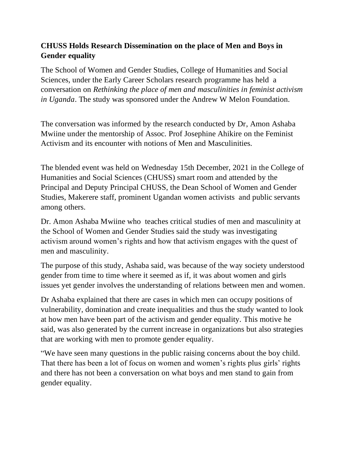## **CHUSS Holds Research Dissemination on the place of Men and Boys in Gender equality**

The School of Women and Gender Studies, College of Humanities and Social Sciences, under the Early Career Scholars research programme has held a conversation on *Rethinking the place of men and masculinities in feminist activism in Uganda*. The study was sponsored under the Andrew W Melon Foundation.

The conversation was informed by the research conducted by Dr, Amon Ashaba Mwiine under the mentorship of Assoc. Prof Josephine Ahikire on the Feminist Activism and its encounter with notions of Men and Masculinities.

The blended event was held on Wednesday 15th December, 2021 in the College of Humanities and Social Sciences (CHUSS) smart room and attended by the Principal and Deputy Principal CHUSS, the Dean School of Women and Gender Studies, Makerere staff, prominent Ugandan women activists and public servants among others.

Dr. Amon Ashaba Mwiine who teaches critical studies of men and masculinity at the School of Women and Gender Studies said the study was investigating activism around women's rights and how that activism engages with the quest of men and masculinity.

The purpose of this study, Ashaba said, was because of the way society understood gender from time to time where it seemed as if, it was about women and girls issues yet gender involves the understanding of relations between men and women.

Dr Ashaba explained that there are cases in which men can occupy positions of vulnerability, domination and create inequalities and thus the study wanted to look at how men have been part of the activism and gender equality. This motive he said, was also generated by the current increase in organizations but also strategies that are working with men to promote gender equality.

"We have seen many questions in the public raising concerns about the boy child. That there has been a lot of focus on women and women's rights plus girls' rights and there has not been a conversation on what boys and men stand to gain from gender equality.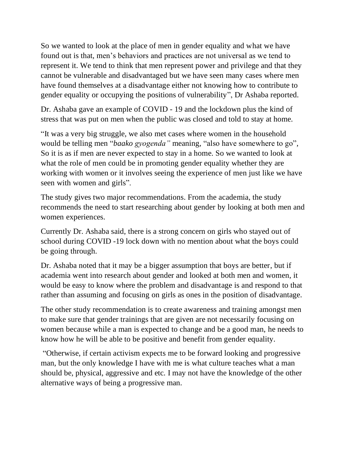So we wanted to look at the place of men in gender equality and what we have found out is that, men's behaviors and practices are not universal as we tend to represent it. We tend to think that men represent power and privilege and that they cannot be vulnerable and disadvantaged but we have seen many cases where men have found themselves at a disadvantage either not knowing how to contribute to gender equality or occupying the positions of vulnerability", Dr Ashaba reported.

Dr. Ashaba gave an example of COVID - 19 and the lockdown plus the kind of stress that was put on men when the public was closed and told to stay at home.

"It was a very big struggle, we also met cases where women in the household would be telling men "*baako gyogenda"* meaning, "also have somewhere to go", So it is as if men are never expected to stay in a home. So we wanted to look at what the role of men could be in promoting gender equality whether they are working with women or it involves seeing the experience of men just like we have seen with women and girls".

The study gives two major recommendations. From the academia, the study recommends the need to start researching about gender by looking at both men and women experiences.

Currently Dr. Ashaba said, there is a strong concern on girls who stayed out of school during COVID -19 lock down with no mention about what the boys could be going through.

Dr. Ashaba noted that it may be a bigger assumption that boys are better, but if academia went into research about gender and looked at both men and women, it would be easy to know where the problem and disadvantage is and respond to that rather than assuming and focusing on girls as ones in the position of disadvantage.

The other study recommendation is to create awareness and training amongst men to make sure that gender trainings that are given are not necessarily focusing on women because while a man is expected to change and be a good man, he needs to know how he will be able to be positive and benefit from gender equality.

"Otherwise, if certain activism expects me to be forward looking and progressive man, but the only knowledge I have with me is what culture teaches what a man should be, physical, aggressive and etc. I may not have the knowledge of the other alternative ways of being a progressive man.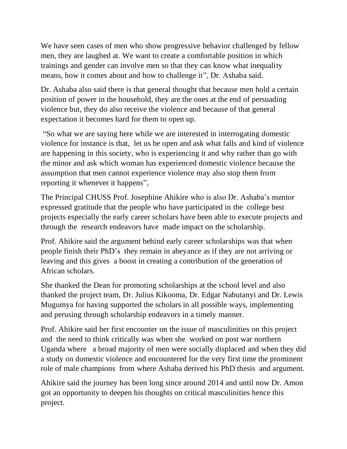We have seen cases of men who show progressive behavior challenged by fellow men, they are laughed at. We want to create a comfortable position in which trainings and gender can involve men so that they can know what inequality means, how it comes about and how to challenge it", Dr. Ashaba said.

Dr. Ashaba also said there is that general thought that because men hold a certain position of power in the household, they are the ones at the end of persuading violence but, they do also receive the violence and because of that general expectation it becomes hard for them to open up.

"So what we are saying here while we are interested in interrogating domestic violence for instance is that, let us be open and ask what falls and kind of violence are happening in this society, who is experiencing it and why rather than go with the minor and ask which woman has experienced domestic violence because the assumption that men cannot experience violence may also stop them from reporting it whenever it happens",

The Principal CHUSS Prof. Josephine Ahikire who is also Dr. Ashaba's mentor expressed gratitude that the people who have participated in the college best projects especially the early career scholars have been able to execute projects and through the research endeavors have made impact on the scholarship.

Prof. Ahikire said the argument behind early career scholarships was that when people finish their PhD's they remain in abeyance as if they are not arriving or leaving and this gives a boost in creating a contribution of the generation of African scholars.

She thanked the Dean for promoting scholarships at the school level and also thanked the project team, Dr. Julius Kikooma, Dr. Edgar Nabutanyi and Dr. Lewis Mugumya for having supported the scholars in all possible ways, implementing and perusing through scholarship endeavors in a timely manner.

Prof. Ahikire said her first encounter on the issue of masculinities on this project and the need to think critically was when she worked on post war northern Uganda where a broad majority of men were socially displaced and when they did a study on domestic violence and encountered for the very first time the prominent role of male champions from where Ashaba derived his PhD thesis and argument.

Ahikire said the journey has been long since around 2014 and until now Dr. Amon got an opportunity to deepen his thoughts on critical masculinities hence this project.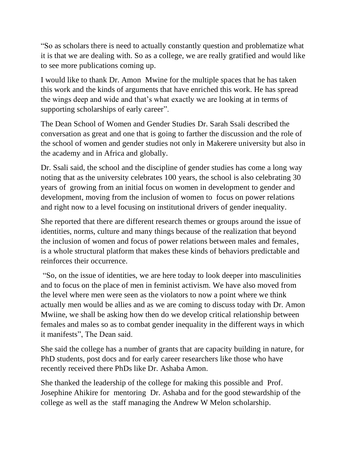"So as scholars there is need to actually constantly question and problematize what it is that we are dealing with. So as a college, we are really gratified and would like to see more publications coming up.

I would like to thank Dr. Amon Mwine for the multiple spaces that he has taken this work and the kinds of arguments that have enriched this work. He has spread the wings deep and wide and that's what exactly we are looking at in terms of supporting scholarships of early career".

The Dean School of Women and Gender Studies Dr. Sarah Ssali described the conversation as great and one that is going to farther the discussion and the role of the school of women and gender studies not only in Makerere university but also in the academy and in Africa and globally.

Dr. Ssali said, the school and the discipline of gender studies has come a long way noting that as the university celebrates 100 years, the school is also celebrating 30 years of growing from an initial focus on women in development to gender and development, moving from the inclusion of women to focus on power relations and right now to a level focusing on institutional drivers of gender inequality.

She reported that there are different research themes or groups around the issue of identities, norms, culture and many things because of the realization that beyond the inclusion of women and focus of power relations between males and females, is a whole structural platform that makes these kinds of behaviors predictable and reinforces their occurrence.

"So, on the issue of identities, we are here today to look deeper into masculinities and to focus on the place of men in feminist activism. We have also moved from the level where men were seen as the violators to now a point where we think actually men would be allies and as we are coming to discuss today with Dr. Amon Mwiine, we shall be asking how then do we develop critical relationship between females and males so as to combat gender inequality in the different ways in which it manifests", The Dean said.

She said the college has a number of grants that are capacity building in nature, for PhD students, post docs and for early career researchers like those who have recently received there PhDs like Dr. Ashaba Amon.

She thanked the leadership of the college for making this possible and Prof. Josephine Ahikire for mentoring Dr. Ashaba and for the good stewardship of the college as well as the staff managing the Andrew W Melon scholarship.